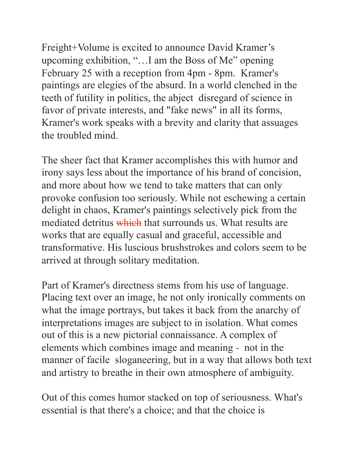Freight+Volume is excited to announce David Kramer's upcoming exhibition, "…I am the Boss of Me" opening February 25 with a reception from 4pm - 8pm. Kramer's paintings are elegies of the absurd. In a world clenched in the teeth of futility in politics, the abject disregard of science in favor of private interests, and "fake news" in all its forms, Kramer's work speaks with a brevity and clarity that assuages the troubled mind.

The sheer fact that Kramer accomplishes this with humor and irony says less about the importance of his brand of concision, and more about how we tend to take matters that can only provoke confusion too seriously. While not eschewing a certain delight in chaos, Kramer's paintings selectively pick from the mediated detritus which that surrounds us. What results are works that are equally casual and graceful, accessible and transformative. His luscious brushstrokes and colors seem to be arrived at through solitary meditation.

Part of Kramer's directness stems from his use of language. Placing text over an image, he not only ironically comments on what the image portrays, but takes it back from the anarchy of interpretations images are subject to in isolation. What comes out of this is a new pictorial connaissance. A complex of elements which combines image and meaning - not in the manner of facile sloganeering, but in a way that allows both text and artistry to breathe in their own atmosphere of ambiguity.

Out of this comes humor stacked on top of seriousness. What's essential is that there's a choice; and that the choice is